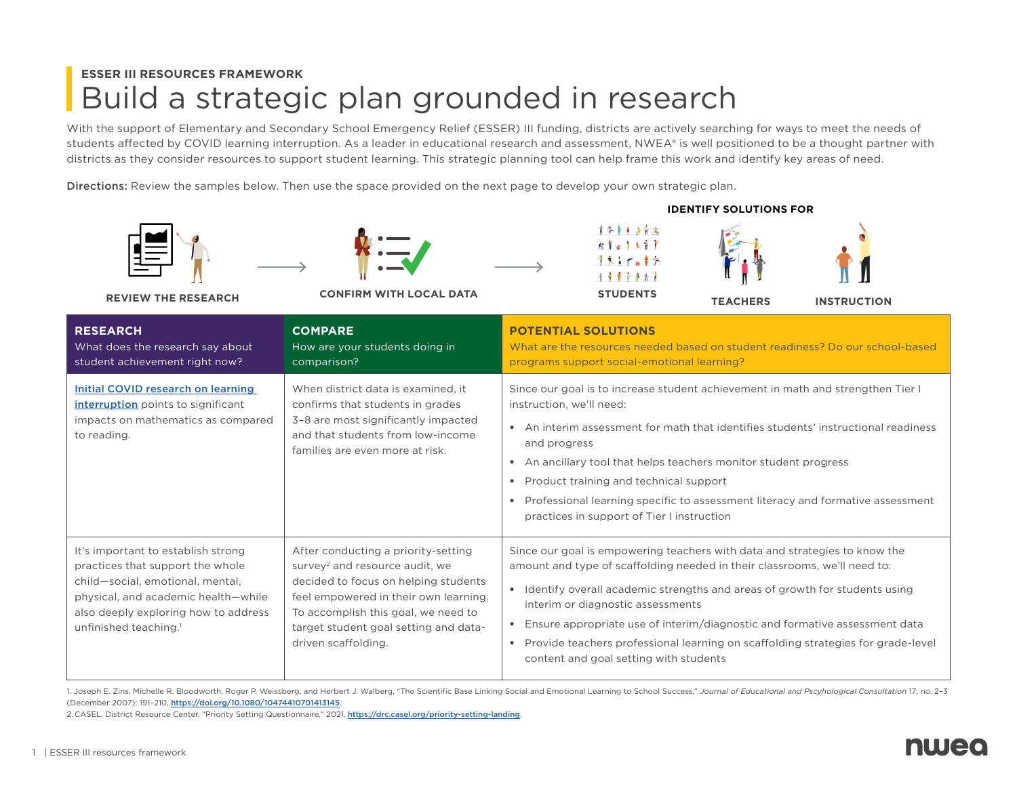## **ESSER III RESOURCES FRAMEWORK** Build a strategic plan grounded in research

With the support of Elementary and Secondary School Emergency Relief (ESSER) III funding, districts are actively searching for ways to meet the needs of students affected by COVID learning interruption. As a leader in educational research and assessment, NWEA® is well positioned to be a thought partner with districts as they consider resources to support student learning. This strategic planning tool can help frame this work and identify key areas of need.

Directions: Review the samples below. Then use the space provided on the next page to develop your own strategic plan.





**REVIEW THE RESEARCH CONFIRM WITH LOCAL DATA STUDENTS**





**TEACHERS INSTRUCTION**

**IDENTIFY SOLUTIONS FOR**



**RESEARCH** What does the research say about student achievement right now? **COMPARE** How are your students doing in comparison? **POTENTIAL SOLUTIONS** What are the resources needed based on student readiness? Do our school-based programs support social-emotional learning? [Initial COVID research on learning](https://www.nwea.org/research/publication/learning-during-covid-19-reading-and-math-achievement-in-the-2020-2021-school-year/)  [interruption](https://www.nwea.org/research/publication/learning-during-covid-19-reading-and-math-achievement-in-the-2020-2021-school-year/) points to significant impacts on mathematics as compared to reading. When district data is examined, it confirms that students in grades 3–8 are most significantly impacted and that students from low-income families are even more at risk. Since our goal is to increase student achievement in math and strengthen Tier I instruction, we'll need: • An interim assessment for math that identifies students' instructional readiness and progress • An ancillary tool that helps teachers monitor student progress • Product training and technical support • Professional learning specific to assessment literacy and formative assessment practices in support of Tier I instruction It's important to establish strong practices that support the whole child—social, emotional, mental, physical, and academic health—while also deeply exploring how to address unfinished teaching. 1 After conducting a priority-setting survey<sup>2</sup> and resource audit, we decided to focus on helping students feel empowered in their own learning. To accomplish this goal, we need to target student goal setting and datadriven scaffolding. Since our goal is empowering teachers with data and strategies to know the amount and type of scaffolding needed in their classrooms, we'll need to: • Identify overall academic strengths and areas of growth for students using interim or diagnostic assessments • Ensure appropriate use of interim/diagnostic and formative assessment data • Provide teachers professional learning on scaffolding strategies for grade-level content and goal setting with students

1. Joseph E. Zins, Michelle R. Bloodworth, Roger P. Weissberg, and Herbert J. Walberg, "The Scientific Base Linking Social and Emotional Learning to School Success," Journal of Educational and Pscyhological Consultation 17 (December 2007): 191–210, <https://doi.org/10.1080/10474410701413145>.

2. CASEL, District Resource Center, "Priority Setting Questionnaire," 2021, <https://drc.casel.org/priority-setting-landing>.